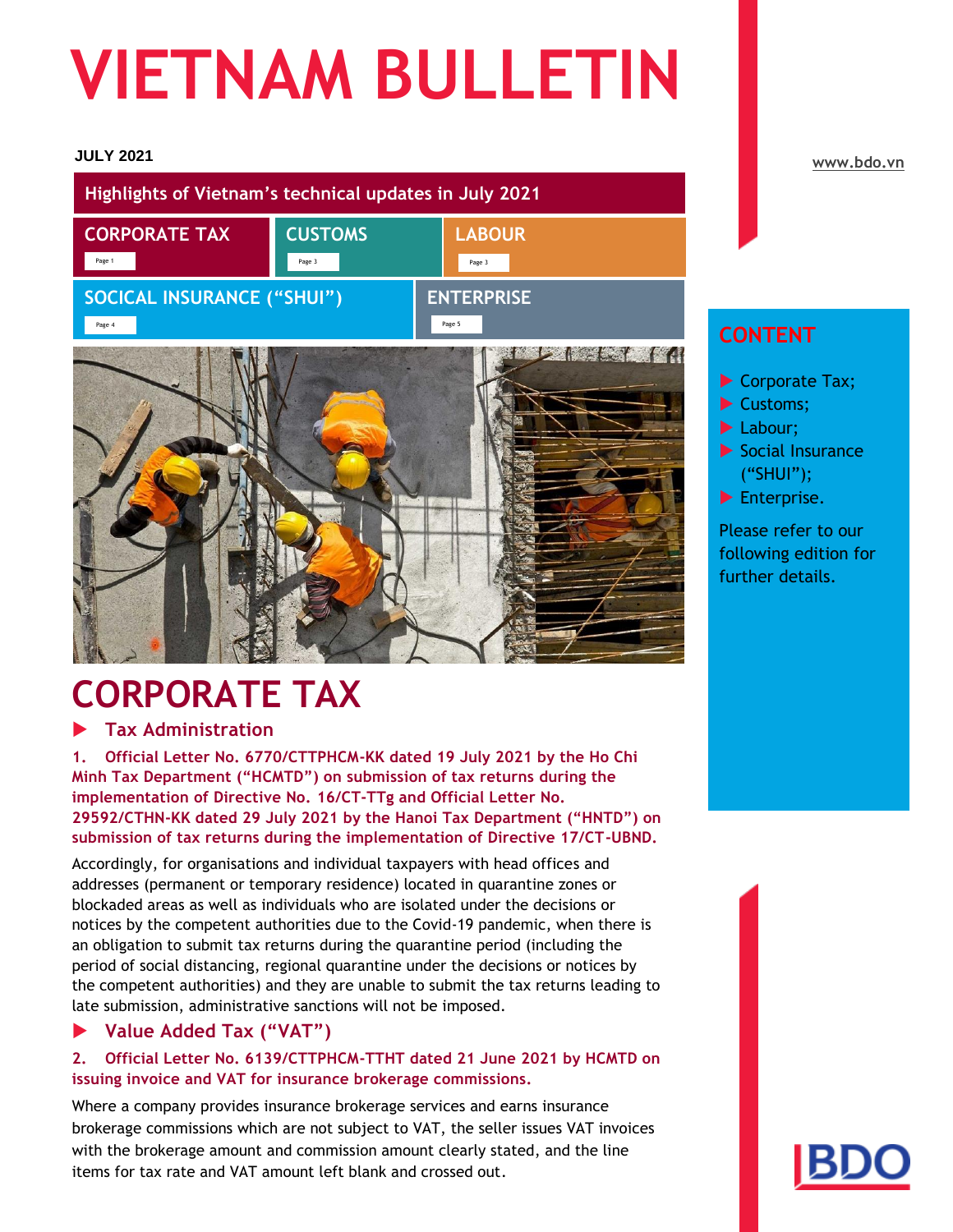# **VIETNAM BULLETIN**

#### **JULY 2021**

| Highlights of Vietnam's technical updates in July 2021 |                |                                       |
|--------------------------------------------------------|----------------|---------------------------------------|
| <b>CORPORATE TAX</b>                                   | <b>CUSTOMS</b> | <b>LABOUR</b>                         |
| Page 1<br><b>SOCICAL INSURANCE ("SHUI")</b><br>Page 4  | Page 3         | Page 3<br><b>ENTERPRISE</b><br>Page 5 |
|                                                        |                | <b>INSTALLS</b>                       |

# **CORPORATE TAX**

#### **Tax Administration**

**1. Official Letter No. 6770/CTTPHCM-KK dated 19 July 2021 by the Ho Chi Minh Tax Department ("HCMTD") on submission of tax returns during the implementation of Directive No. 16/CT-TTg and Official Letter No. 29592/CTHN-KK dated 29 July 2021 by the Hanoi Tax Department ("HNTD") on submission of tax returns during the implementation of Directive 17/CT-UBND.**

Accordingly, for organisations and individual taxpayers with head offices and addresses (permanent or temporary residence) located in quarantine zones or blockaded areas as well as individuals who are isolated under the decisions or notices by the competent authorities due to the Covid-19 pandemic, when there is an obligation to submit tax returns during the quarantine period (including the period of social distancing, regional quarantine under the decisions or notices by the competent authorities) and they are unable to submit the tax returns leading to late submission, administrative sanctions will not be imposed.

#### **Value Added Tax ("VAT")**

#### **2. Official Letter No. 6139/CTTPHCM-TTHT dated 21 June 2021 by HCMTD on issuing invoice and VAT for insurance brokerage commissions.**

Where a company provides insurance brokerage services and earns insurance brokerage commissions which are not subject to VAT, the seller issues VAT invoices with the brokerage amount and commission amount clearly stated, and the line items for tax rate and VAT amount left blank and crossed out.

#### **[www.bdo.vn](http://www.bdo.vn/)**

#### **CONTENT**

- Corporate Tax;
- Customs;
- Labour;
- $\blacktriangleright$  Social Insurance ("SHUI");
- Enterprise.

Please refer to our following edition for further details.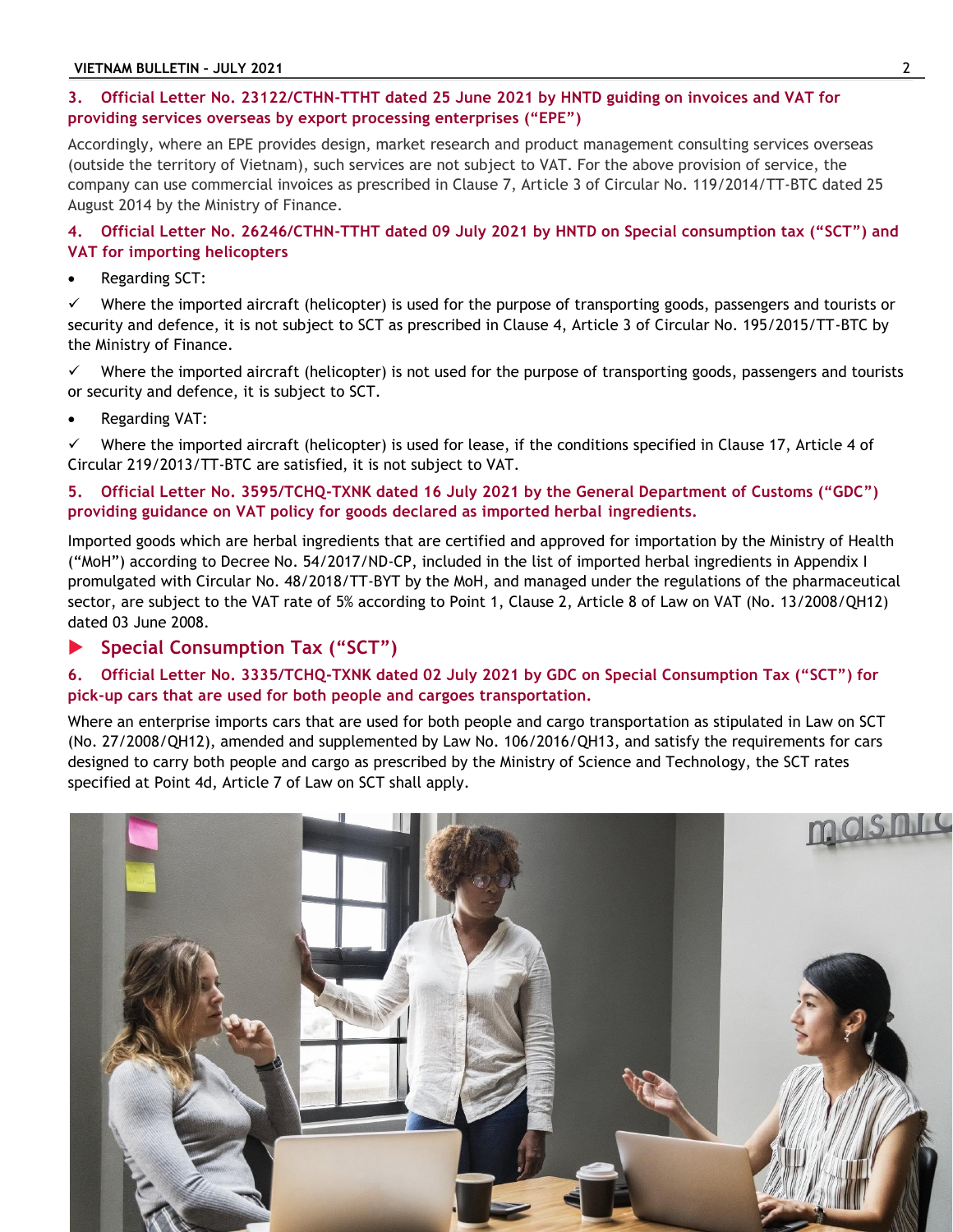#### **3. Official Letter No. 23122/CTHN-TTHT dated 25 June 2021 by HNTD guiding on invoices and VAT for providing services overseas by export processing enterprises ("EPE")**

Accordingly, where an EPE provides design, market research and product management consulting services overseas (outside the territory of Vietnam), such services are not subject to VAT. For the above provision of service, the company can use commercial invoices as prescribed in Clause 7, Article 3 of Circular No. 119/2014/TT-BTC dated 25 August 2014 by the Ministry of Finance.

**4. Official Letter No. 26246/CTHN-TTHT dated 09 July 2021 by HNTD on Special consumption tax ("SCT") and VAT for importing helicopters**

Regarding SCT:

 $\checkmark$  Where the imported aircraft (helicopter) is used for the purpose of transporting goods, passengers and tourists or security and defence, it is not subject to SCT as prescribed in Clause 4, Article 3 of Circular No. 195/2015/TT-BTC by the Ministry of Finance.

 $\checkmark$  Where the imported aircraft (helicopter) is not used for the purpose of transporting goods, passengers and tourists or security and defence, it is subject to SCT.

Regarding VAT:

 Where the imported aircraft (helicopter) is used for lease, if the conditions specified in Clause 17, Article 4 of Circular 219/2013/TT-BTC are satisfied, it is not subject to VAT.

#### **5. Official Letter No. 3595/TCHQ-TXNK dated 16 July 2021 by the General Department of Customs ("GDC") providing guidance on VAT policy for goods declared as imported herbal ingredients.**

Imported goods which are herbal ingredients that are certified and approved for importation by the Ministry of Health ("MoH") according to Decree No. 54/2017/ND-CP, included in the list of imported herbal ingredients in Appendix I promulgated with Circular No. 48/2018/TT-BYT by the MoH, and managed under the regulations of the pharmaceutical sector, are subject to the VAT rate of 5% according to Point 1, Clause 2, Article 8 of Law on VAT (No. 13/2008/QH12) dated 03 June 2008.

#### **Special Consumption Tax ("SCT")**

#### **6. Official Letter No. 3335/TCHQ-TXNK dated 02 July 2021 by GDC on Special Consumption Tax ("SCT") for pick-up cars that are used for both people and cargoes transportation.**

Where an enterprise imports cars that are used for both people and cargo transportation as stipulated in Law on SCT (No. 27/2008/QH12), amended and supplemented by Law No. 106/2016/QH13, and satisfy the requirements for cars designed to carry both people and cargo as prescribed by the Ministry of Science and Technology, the SCT rates specified at Point 4d, Article 7 of Law on SCT shall apply.

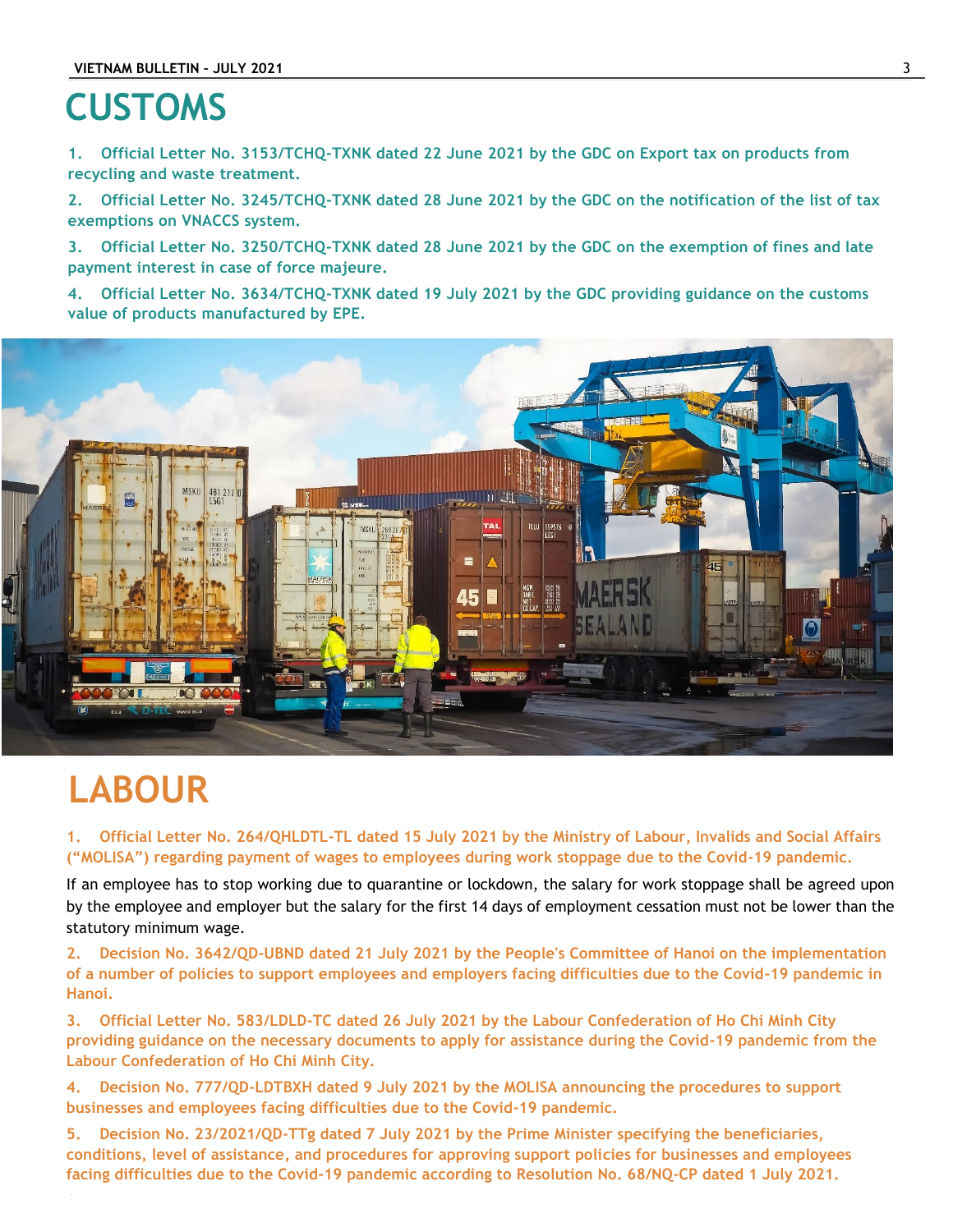## **CUSTOMS**

**1. Official Letter No. 3153/TCHQ-TXNK dated 22 June 2021 by the GDC on Export tax on products from recycling and waste treatment.**

**2. Official Letter No. 3245/TCHQ-TXNK dated 28 June 2021 by the GDC on the notification of the list of tax exemptions on VNACCS system.**

**3. Official Letter No. 3250/TCHQ-TXNK dated 28 June 2021 by the GDC on the exemption of fines and late payment interest in case of force majeure.**

**4. Official Letter No. 3634/TCHQ-TXNK dated 19 July 2021 by the GDC providing guidance on the customs value of products manufactured by EPE.**



## **LABOUR**

**1. Official Letter No. 264/QHLDTL-TL dated 15 July 2021 by the Ministry of Labour, Invalids and Social Affairs ("MOLISA") regarding payment of wages to employees during work stoppage due to the Covid-19 pandemic.** 

If an employee has to stop working due to quarantine or lockdown, the salary for work stoppage shall be agreed upon by the employee and employer but the salary for the first 14 days of employment cessation must not be lower than the statutory minimum wage.

**2. Decision No. 3642/QD-UBND dated 21 July 2021 by the People's Committee of Hanoi on the implementation of a number of policies to support employees and employers facing difficulties due to the Covid-19 pandemic in Hanoi.**

**3. Official Letter No. 583/LDLD-TC dated 26 July 2021 by the Labour Confederation of Ho Chi Minh City providing guidance on the necessary documents to apply for assistance during the Covid-19 pandemic from the Labour Confederation of Ho Chi Minh City.**

**4. Decision No. 777/QD-LDTBXH dated 9 July 2021 by the MOLISA announcing the procedures to support businesses and employees facing difficulties due to the Covid-19 pandemic.**

**5. Decision No. 23/2021/QD-TTg dated 7 July 2021 by the Prime Minister specifying the beneficiaries, conditions, level of assistance, and procedures for approving support policies for businesses and employees facing difficulties due to the Covid-19 pandemic according to Resolution No. 68/NQ-CP dated 1 July 2021.**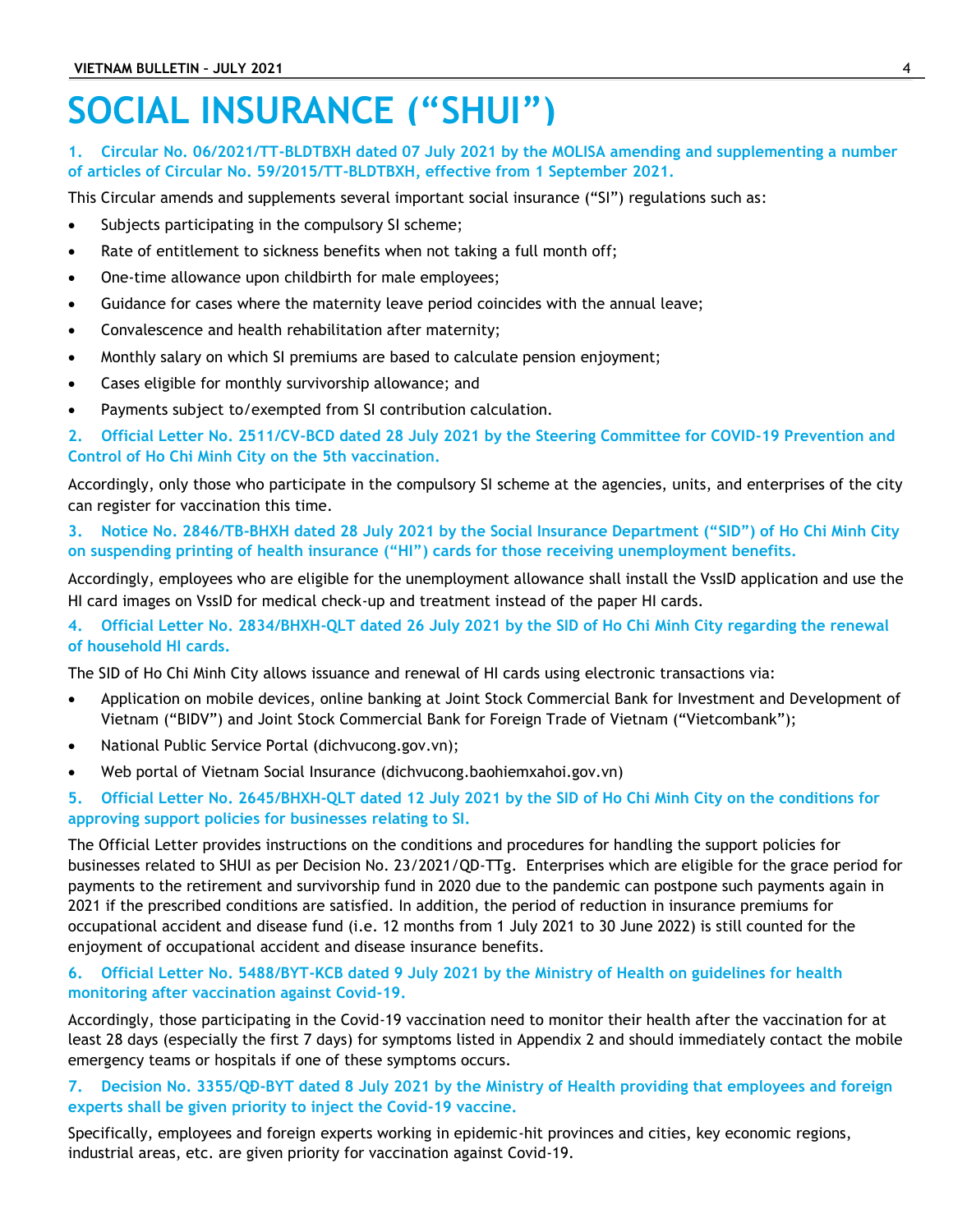## **SOCIAL INSURANCE ("SHUI")**

#### **1. Circular No. 06/2021/TT-BLDTBXH dated 07 July 2021 by the MOLISA amending and supplementing a number of articles of Circular No. 59/2015/TT-BLDTBXH, effective from 1 September 2021.**

This Circular amends and supplements several important social insurance ("SI") regulations such as:

- Subjects participating in the compulsory SI scheme;
- Rate of entitlement to sickness benefits when not taking a full month off;
- One-time allowance upon childbirth for male employees;
- Guidance for cases where the maternity leave period coincides with the annual leave;
- Convalescence and health rehabilitation after maternity;
- Monthly salary on which SI premiums are based to calculate pension enjoyment;
- Cases eligible for monthly survivorship allowance; and
- Payments subject to/exempted from SI contribution calculation.

**2. Official Letter No. 2511/CV-BCD dated 28 July 2021 by the Steering Committee for COVID-19 Prevention and Control of Ho Chi Minh City on the 5th vaccination.**

Accordingly, only those who participate in the compulsory SI scheme at the agencies, units, and enterprises of the city can register for vaccination this time.

**3. Notice No. 2846/TB-BHXH dated 28 July 2021 by the Social Insurance Department ("SID") of Ho Chi Minh City on suspending printing of health insurance ("HI") cards for those receiving unemployment benefits.**

Accordingly, employees who are eligible for the unemployment allowance shall install the VssID application and use the HI card images on VssID for medical check-up and treatment instead of the paper HI cards.

**4. Official Letter No. 2834/BHXH-QLT dated 26 July 2021 by the SID of Ho Chi Minh City regarding the renewal of household HI cards.**

The SID of Ho Chi Minh City allows issuance and renewal of HI cards using electronic transactions via:

- Application on mobile devices, online banking at Joint Stock Commercial Bank for Investment and Development of Vietnam ("BIDV") and Joint Stock Commercial Bank for Foreign Trade of Vietnam ("Vietcombank");
- National Public Service Portal (dichvucong.gov.vn);
- Web portal of Vietnam Social Insurance (dichvucong.baohiemxahoi.gov.vn)
- **5. Official Letter No. 2645/BHXH-QLT dated 12 July 2021 by the SID of Ho Chi Minh City on the conditions for approving support policies for businesses relating to SI.**

The Official Letter provides instructions on the conditions and procedures for handling the support policies for businesses related to SHUI as per Decision No. 23/2021/QD-TTg. Enterprises which are eligible for the grace period for payments to the retirement and survivorship fund in 2020 due to the pandemic can postpone such payments again in 2021 if the prescribed conditions are satisfied. In addition, the period of reduction in insurance premiums for occupational accident and disease fund (i.e. 12 months from 1 July 2021 to 30 June 2022) is still counted for the enjoyment of occupational accident and disease insurance benefits.

#### **6. Official Letter No. 5488/BYT-KCB dated 9 July 2021 by the Ministry of Health on guidelines for health monitoring after vaccination against Covid-19.**

Accordingly, those participating in the Covid-19 vaccination need to monitor their health after the vaccination for at least 28 days (especially the first 7 days) for symptoms listed in Appendix 2 and should immediately contact the mobile emergency teams or hospitals if one of these symptoms occurs.

#### **7. Decision No. 3355/QĐ-BYT dated 8 July 2021 by the Ministry of Health providing that employees and foreign experts shall be given priority to inject the Covid-19 vaccine.**

Specifically, employees and foreign experts working in epidemic-hit provinces and cities, key economic regions, industrial areas, etc. are given priority for vaccination against Covid-19.